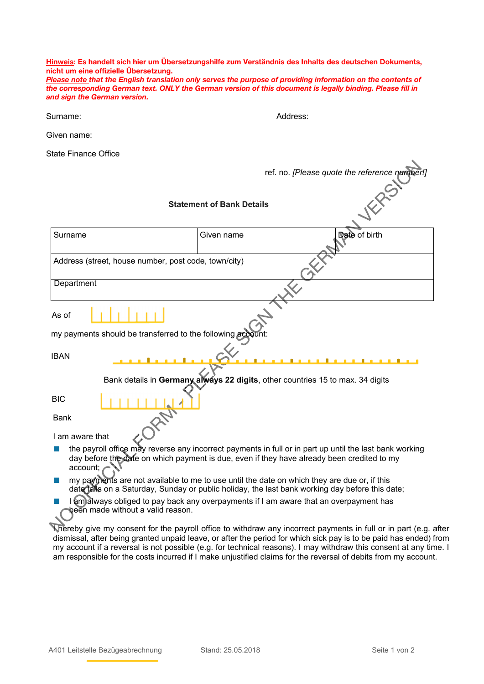**Hinweis: Es handelt sich hier um Übersetzungshilfe zum Verständnis des Inhalts des deutschen Dokuments, nicht um eine offizielle Übersetzung.** 

*Please note that the English translation only serves the purpose of providing information on the contents of the corresponding German text. ONLY the German version of this document is legally binding. Please fill in and sign the German version.* 

Surname: Address:

Given name:

State Finance Office

|                                                                                                                                                                                                | ref. no. [Please quote the reference number!]                                                                                                                                                         |
|------------------------------------------------------------------------------------------------------------------------------------------------------------------------------------------------|-------------------------------------------------------------------------------------------------------------------------------------------------------------------------------------------------------|
| <b>Statement of Bank Details</b>                                                                                                                                                               |                                                                                                                                                                                                       |
| Surname                                                                                                                                                                                        | Date of birth<br>Given name                                                                                                                                                                           |
| Address (street, house number, post code, town/city)                                                                                                                                           |                                                                                                                                                                                                       |
| Department                                                                                                                                                                                     |                                                                                                                                                                                                       |
| As of                                                                                                                                                                                          |                                                                                                                                                                                                       |
| my payments should be transferred to the following account:                                                                                                                                    |                                                                                                                                                                                                       |
| <b>IBAN</b><br>.                                                                                                                                                                               | <u>.</u>                                                                                                                                                                                              |
| Bank details in Germany always 22 digits, other countries 15 to max. 34 digits                                                                                                                 |                                                                                                                                                                                                       |
| <b>BIC</b>                                                                                                                                                                                     |                                                                                                                                                                                                       |
| <b>Bank</b>                                                                                                                                                                                    |                                                                                                                                                                                                       |
| I am aware that                                                                                                                                                                                |                                                                                                                                                                                                       |
| account;                                                                                                                                                                                       | the payroll office may reverse any incorrect payments in full or in part up until the last bank working<br>day before the date on which payment is due, even if they have already been credited to my |
| my payments are not available to me to use until the date on which they are due or, if this<br>date talls on a Saturday, Sunday or public holiday, the last bank working day before this date; |                                                                                                                                                                                                       |
| am always obliged to pay back any overpayments if I am aware that an overpayment has<br>been made without a valid reason.                                                                      |                                                                                                                                                                                                       |
|                                                                                                                                                                                                | Niereby give my consent for the payroll office to withdraw any incorrect payments in full or in part (e.g. a                                                                                          |

I hereby give my consent for the payroll office to withdraw any incorrect payments in full or in part (e.g. after dismissal, after being granted unpaid leave, or after the period for which sick pay is to be paid has ended) from my account if a reversal is not possible (e.g. for technical reasons). I may withdraw this consent at any time. I am responsible for the costs incurred if I make unjustified claims for the reversal of debits from my account.

 $\Delta$